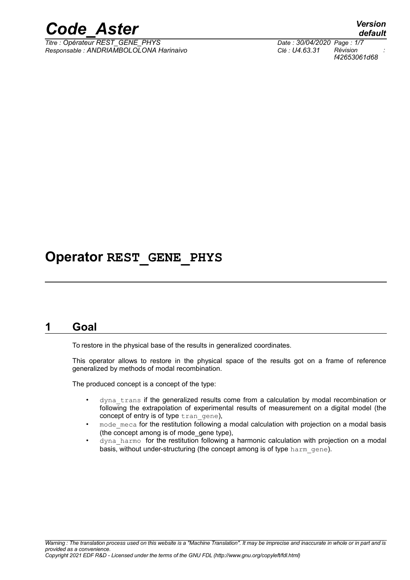

*Titre : Opérateur REST\_GENE\_PHYS Date : 30/04/2020 Page : 1/7 Responsable : ANDRIAMBOLOLONA Harinaivo Clé : U4.63.31 Révision :*

## **Operator REST\_GENE\_PHYS**

## **1 Goal**

To restore in the physical base of the results in generalized coordinates.

This operator allows to restore in the physical space of the results got on a frame of reference generalized by methods of modal recombination.

The produced concept is a concept of the type:

- dyna trans if the generalized results come from a calculation by modal recombination or following the extrapolation of experimental results of measurement on a digital model (the concept of entry is of type tran gene),
- $mod$ e  $meca$  for the restitution following a modal calculation with projection on a modal basis (the concept among is of mode\_gene type),
- dyna harmo for the restitution following a harmonic calculation with projection on a modal basis, without under-structuring (the concept among is of type harm gene).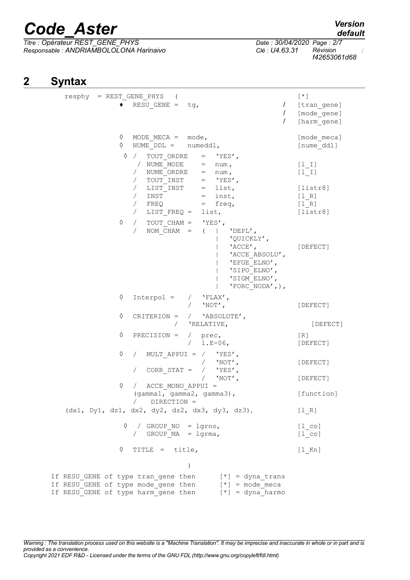*Titre : Opérateur REST\_GENE\_PHYS Date : 30/04/2020 Page : 2/7 Responsable : ANDRIAMBOLOLONA Harinaivo Clé : U4.63.31 Révision :*

*f42653061d68*

## **2 Syntax**

| resphy = REST GENE PHYS (                                                                                         |                                                                                                                                                                                                    |                                                                                                                                                                  | $[\star]$                                                                     |
|-------------------------------------------------------------------------------------------------------------------|----------------------------------------------------------------------------------------------------------------------------------------------------------------------------------------------------|------------------------------------------------------------------------------------------------------------------------------------------------------------------|-------------------------------------------------------------------------------|
|                                                                                                                   | RESU GENE = $tg$ ,                                                                                                                                                                                 |                                                                                                                                                                  | $\prime$<br>[tran gene]<br>$\prime$<br>[mode gene]<br>$\prime$<br>[harm gene] |
| ♦<br>♦                                                                                                            | MODE MECA = $mode$ ,<br>NUME $DDL =$ numeddl,                                                                                                                                                      |                                                                                                                                                                  | [mode meca]<br>[nume ddl]                                                     |
| ♦                                                                                                                 | / TOUT ORDRE = $'YES'$ ,<br>/ NUME MODE<br>NUME ORDRE<br>$\sqrt{2}$<br>TOUT INST<br>$\sqrt{2}$<br>LIST INST<br>$\sqrt{2}$<br>$\sqrt{2}$<br>INST<br>$\sqrt{2}$<br>FREQ<br>LIST FREQ =<br>$\sqrt{2}$ | $=$ num,<br>$=$ num,<br>$=$ 'YES',<br>$=$ list,<br>$=$ inst,<br>$=$ freq,<br>list,                                                                               | $[1 1]$<br>$[1  I]$<br>[liststr8]<br>[1 R]<br>[1 R]<br>[liststr8]             |
| ♦                                                                                                                 | TOUT CHAM = $'YES'$ ,<br>$\sqrt{2}$<br>NOM $CHAM =$ (<br>$\sqrt{2}$                                                                                                                                | 'DEPL',<br>'QUICKLY',<br>$'$ ACCE $'$ ,<br>'ACCE ABSOLU',<br>'EFGE ELNO',<br>'SIPO ELNO',<br>'SIGM ELNO',<br>'FORC NODA', $)$ ,                                  | [DEFECT]                                                                      |
| ♦                                                                                                                 | $Interpol =$                                                                                                                                                                                       | $/$ 'FLAX',<br>/ $'NOT'$ ,                                                                                                                                       | [DEFECT]                                                                      |
| ♦                                                                                                                 | CRITERION = $/$ 'ABSOLUTE',                                                                                                                                                                        | / 'RELATIVE,                                                                                                                                                     | [DEFECT]                                                                      |
| ♦                                                                                                                 | $PRECISION =$                                                                                                                                                                                      | / prec,<br>$1.E-06$ ,<br>$\sqrt{2}$                                                                                                                              | $\lceil R \rceil$<br>[DEFECT]                                                 |
| ♦                                                                                                                 | $\sqrt{2}$                                                                                                                                                                                         | MULT APPUI = $/$ 'YES',<br>$\begin{array}{ccccc} & / & \text{'}\text{NOT'}\text{,}\\ \text{CORR } \text{STAT} & = & / & \text{'}\text{YES'}\text{,} \end{array}$ | [DEFECT]                                                                      |
| ♦                                                                                                                 | / ACCE MONO APPUI =<br>(gamma1, gamma2, gamma3),<br>$/$ DIRECTION =                                                                                                                                | $\sqrt{2}$<br>$'NOT'$ ,                                                                                                                                          | [DEFECT]<br>[function]                                                        |
| (dx1, Dy1, dz1, dx2, dy2, dz2, dx3, dy3, dz3),                                                                    |                                                                                                                                                                                                    |                                                                                                                                                                  | [1 R]                                                                         |
| ♦                                                                                                                 | / GROUP NO = lgrno,<br>/ GROUP MA = lgrma,                                                                                                                                                         |                                                                                                                                                                  | $[1 \text{co}]$<br>$[1$ <sub>co</sub> ]                                       |
| ♦                                                                                                                 | TITLE = title,                                                                                                                                                                                     |                                                                                                                                                                  | $[1$ Kn]                                                                      |
|                                                                                                                   | $\mathcal{E}$                                                                                                                                                                                      |                                                                                                                                                                  |                                                                               |
| If RESU GENE of type tran_gene then<br>If RESU GENE of type mode gene then<br>If RESU GENE of type harm gene then |                                                                                                                                                                                                    | $[*] = \text{dyn} \text{ trans}$<br>$[*] = mode meca$<br>$[*] = dyna harmo$                                                                                      |                                                                               |

*Warning : The translation process used on this website is a "Machine Translation". It may be imprecise and inaccurate in whole or in part and is provided as a convenience. Copyright 2021 EDF R&D - Licensed under the terms of the GNU FDL (http://www.gnu.org/copyleft/fdl.html)*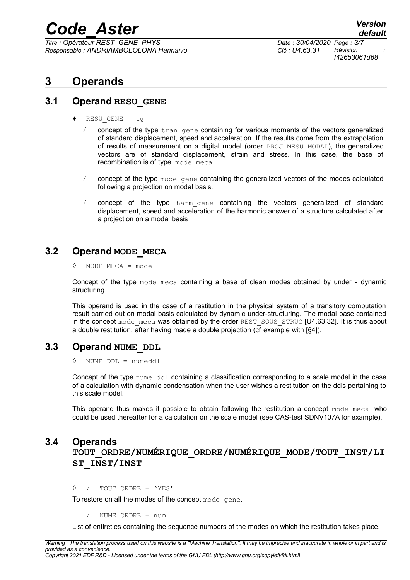*Titre : Opérateur REST\_GENE\_PHYS Date : 30/04/2020 Page : 3/7 Responsable : ANDRIAMBOLOLONA Harinaivo Clé : U4.63.31 Révision :*

*f42653061d68*

## **3 Operands**

## **3.1 Operand RESU\_GENE**

- $RESU$  GENE = tg
	- $\ell$  concept of the type  $\text{tran}$  gene containing for various moments of the vectors generalized of standard displacement, speed and acceleration. If the results come from the extrapolation of results of measurement on a digital model (order PROJ\_MESU\_MODAL), the generalized vectors are of standard displacement, strain and stress. In this case, the base of recombination is of type mode meca.
	- $\ell$  concept of the type mode gene containing the generalized vectors of the modes calculated following a projection on modal basis.
	- / concept of the type harm\_gene containing the vectors generalized of standard displacement, speed and acceleration of the harmonic answer of a structure calculated after a projection on a modal basis

## **3.2 Operand MODE\_MECA**

◊ MODE\_MECA = mode

Concept of the type mode meca containing a base of clean modes obtained by under - dynamic structuring.

This operand is used in the case of a restitution in the physical system of a transitory computation result carried out on modal basis calculated by dynamic under-structuring. The modal base contained in the concept mode meca was obtained by the order REST\_SOUS\_STRUC [U4.63.32]. It is thus about a double restitution, after having made a double projection (cf example with [§4]).

## **3.3 Operand NUME\_DDL**

◊ NUME\_DDL = numeddl

Concept of the type nume ddl containing a classification corresponding to a scale model in the case of a calculation with dynamic condensation when the user wishes a restitution on the ddls pertaining to this scale model.

This operand thus makes it possible to obtain following the restitution a concept  $\text{mode}$  meca who could be used thereafter for a calculation on the scale model (see CAS-test SDNV107A for example).

## **3.4 Operands**

**TOUT\_ORDRE/NUMÉRIQUE\_ORDRE/NUMÉRIQUE\_MODE/TOUT\_INST/LI ST\_INST/INST**

◊ / TOUT\_ORDRE = 'YES'

To restore on all the modes of the concept mode gene.

NUME ORDRE = num

List of entireties containing the sequence numbers of the modes on which the restitution takes place.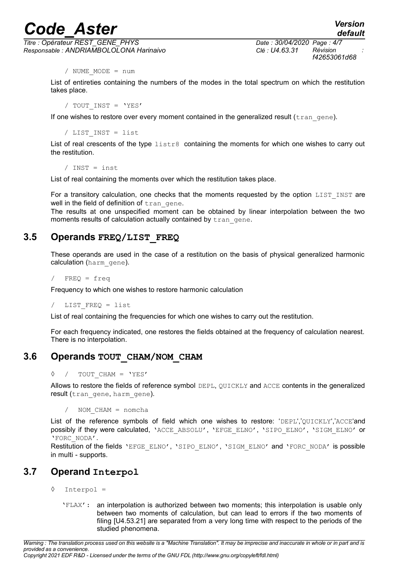*Titre : Opérateur REST\_GENE\_PHYS Date : 30/04/2020 Page : 4/7 Responsable : ANDRIAMBOLOLONA Harinaivo Clé : U4.63.31 Révision :*

/ NUME\_MODE = num

List of entireties containing the numbers of the modes in the total spectrum on which the restitution takes place.

/ TOUT\_INST = 'YES'

If one wishes to restore over every moment contained in the generalized result ( $trangen$ ).

/ LIST\_INST = list

List of real crescents of the type  $listes$  containing the moments for which one wishes to carry out the restitution.

/ INST = inst

List of real containing the moments over which the restitution takes place.

For a transitory calculation, one checks that the moments requested by the option  $LIST$  INST are well in the field of definition of tran gene.

The results at one unspecified moment can be obtained by linear interpolation between the two moments results of calculation actually contained by tran gene.

## **3.5 Operands FREQ/LIST\_FREQ**

These operands are used in the case of a restitution on the basis of physical generalized harmonic calculation (harm gene).

 $/$  FREQ = freq

Frequency to which one wishes to restore harmonic calculation

LIST FREQ = list

List of real containing the frequencies for which one wishes to carry out the restitution.

For each frequency indicated, one restores the fields obtained at the frequency of calculation nearest. There is no interpolation.

### **3.6 Operands TOUT\_CHAM/NOM\_CHAM**

#### ◊ / TOUT\_CHAM = 'YES'

Allows to restore the fields of reference symbol DEPL, QUICKLY and ACCE contents in the generalized result (tran gene, harm gene).

NOM CHAM = nomcha

List of the reference symbols of field which one wishes to restore: 'DEPL','OUICKLY','ACCE'and possibly if they were calculated, 'ACCE\_ABSOLU', 'EFGE\_ELNO', 'SIPO\_ELNO', 'SIGM\_ELNO' or 'FORC\_NODA'.

Restitution of the fields 'EFGE\_ELNO', 'SIPO\_ELNO', 'SIGM\_ELNO' and 'FORC\_NODA' is possible in multi - supports.

## **3.7 Operand Interpol**

- ◊ Interpol =
	- 'FLAX': an interpolation is authorized between two moments; this interpolation is usable only between two moments of calculation, but can lead to errors if the two moments of filing [U4.53.21] are separated from a very long time with respect to the periods of the studied phenomena.

*Warning : The translation process used on this website is a "Machine Translation". It may be imprecise and inaccurate in whole or in part and is provided as a convenience. Copyright 2021 EDF R&D - Licensed under the terms of the GNU FDL (http://www.gnu.org/copyleft/fdl.html)*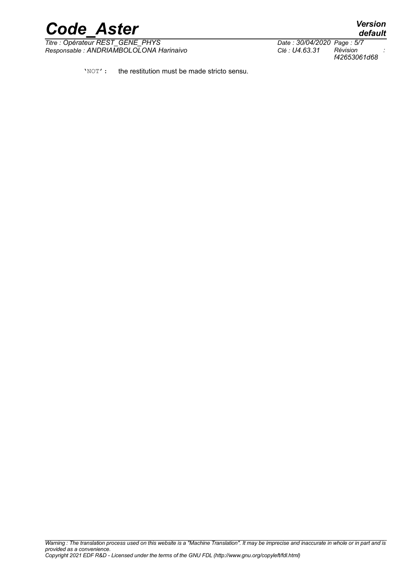

*Titre : Opérateur REST\_GENE\_PHYS Date : 30/04/2020 Page : 5/7 Responsable : ANDRIAMBOLOLONA Harinaivo Clé : U4.63.31 Révision :*

*f42653061d68*

'NOT': the restitution must be made stricto sensu.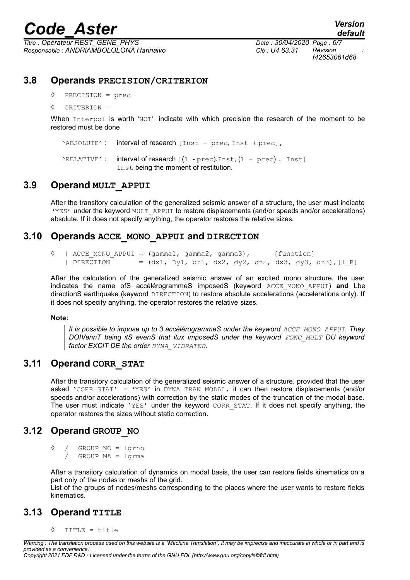*Titre : Opérateur REST\_GENE\_PHYS Date : 30/04/2020 Page : 6/7 Responsable : ANDRIAMBOLOLONA Harinaivo Clé : U4.63.31 Révision :*

*f42653061d68*

## **3.8 Operands PRECISION/CRITERION**

◊ PRECISION = prec

◊ CRITERION =

When Interpol is worth 'NOT' indicate with which precision the research of the moment to be restored must be done

'ABSOLUTE': interval of research [Inst - prec, Inst + prec],

'RELATIVE': interval of research  $[(1 - prec).Inst, (1 + prec)$ . Inst] Inst being the moment of restitution.

## **3.9 Operand MULT\_APPUI**

After the transitory calculation of the generalized seismic answer of a structure, the user must indicate 'YES' under the keyword MULT\_APPUI to restore displacements (and/or speeds and/or accelerations) absolute. If it does not specify anything, the operator restores the relative sizes.

## **3.10 Operands ACCE\_MONO\_APPUI and DIRECTION**

 $\Diamond$  | ACCE MONO APPUI = (gamma1, gamma2, gamma3), [function]  $|$  DIRECTION =  $(dx1, Dy1, dz1, dx2, dy2, dz2, dx3, dy3, dz3), [1, R]$ 

After the calculation of the generalized seismic answer of an excited mono structure, the user indicates the name ofS accélérogrammeS imposedS (keyword ACCE\_MONO\_APPUI) **and** Lbe directionS earthquake (keyword DIRECTION) to restore absolute accelerations (accelerations only). If it does not specify anything, the operator restores the relative sizes.

#### **Note:**

*It is possible to impose up to 3 accélérogrammeS under the keyword ACCE\_MONO\_APPUI. They DOIVennT being itS evenS that itux imposedS under the keyword FONC\_MULT DU keyword factor EXCIT DE the order DYNA\_VIBRATED.*

## **3.11 Operand CORR\_STAT**

After the transitory calculation of the generalized seismic answer of a structure, provided that the user asked 'CORR STAT' = 'YES' in DYNA TRAN MODAL, it can then restore displacements (and/or speeds and/or accelerations) with correction by the static modes of the truncation of the modal base. The user must indicate 'YES' under the keyword CORR STAT. If it does not specify anything, the operator restores the sizes without static correction.

## **3.12 Operand GROUP\_NO**

◊ / GROUP\_NO = lgrno / GROUP\_MA = lgrma

After a transitory calculation of dynamics on modal basis, the user can restore fields kinematics on a part only of the nodes or meshs of the grid.

List of the groups of nodes/meshs corresponding to the places where the user wants to restore fields kinematics.

## **3.13 Operand TITLE**

◊ TITLE = title

*Warning : The translation process used on this website is a "Machine Translation". It may be imprecise and inaccurate in whole or in part and is provided as a convenience. Copyright 2021 EDF R&D - Licensed under the terms of the GNU FDL (http://www.gnu.org/copyleft/fdl.html)*